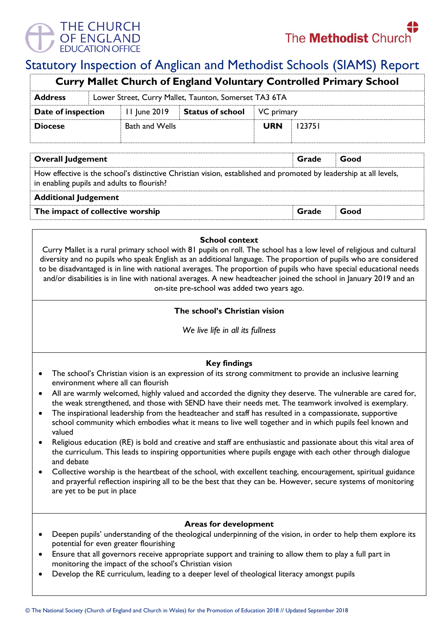

# Statutory Inspection of Anglican and Methodist Schools (SIAMS) Report

| <b>Curry Mallet Church of England Voluntary Controlled Primary School</b> |                                                       |                       |                         |            |        |  |  |  |
|---------------------------------------------------------------------------|-------------------------------------------------------|-----------------------|-------------------------|------------|--------|--|--|--|
| <b>Address</b>                                                            | Lower Street, Curry Mallet, Taunton, Somerset TA3 6TA |                       |                         |            |        |  |  |  |
| Date of inspection                                                        |                                                       | 11 June 2019          | <b>Status of school</b> | VC primary |        |  |  |  |
| <b>Diocese</b>                                                            |                                                       | <b>Bath and Wells</b> |                         | <b>URN</b> | 123751 |  |  |  |
|                                                                           |                                                       |                       |                         |            |        |  |  |  |

| <b>Overall Judgement</b>                                                                                                                                        | Grade | Good |  |  |  |  |
|-----------------------------------------------------------------------------------------------------------------------------------------------------------------|-------|------|--|--|--|--|
| How effective is the school's distinctive Christian vision, established and promoted by leadership at all levels,<br>in enabling pupils and adults to flourish? |       |      |  |  |  |  |
| <b>Additional Judgement</b>                                                                                                                                     |       |      |  |  |  |  |
| The impact of collective worship                                                                                                                                | Grade | Good |  |  |  |  |

### **School context**

Curry Mallet is a rural primary school with 81 pupils on roll. The school has a low level of religious and cultural diversity and no pupils who speak English as an additional language. The proportion of pupils who are considered to be disadvantaged is in line with national averages. The proportion of pupils who have special educational needs and/or disabilities is in line with national averages. A new headteacher joined the school in January 2019 and an on-site pre-school was added two years ago.

## **The school's Christian vision**

*We live life in all its fullness*

## **Key findings**

- The school's Christian vision is an expression of its strong commitment to provide an inclusive learning environment where all can flourish
- All are warmly welcomed, highly valued and accorded the dignity they deserve. The vulnerable are cared for, the weak strengthened, and those with SEND have their needs met. The teamwork involved is exemplary.
- The inspirational leadership from the headteacher and staff has resulted in a compassionate, supportive school community which embodies what it means to live well together and in which pupils feel known and valued
- Religious education (RE) is bold and creative and staff are enthusiastic and passionate about this vital area of the curriculum. This leads to inspiring opportunities where pupils engage with each other through dialogue and debate
- Collective worship is the heartbeat of the school, with excellent teaching, encouragement, spiritual guidance and prayerful reflection inspiring all to be the best that they can be. However, secure systems of monitoring are yet to be put in place

#### **Areas for development**

- Deepen pupils' understanding of the theological underpinning of the vision, in order to help them explore its potential for even greater flourishing
- Ensure that all governors receive appropriate support and training to allow them to play a full part in monitoring the impact of the school's Christian vision
- Develop the RE curriculum, leading to a deeper level of theological literacy amongst pupils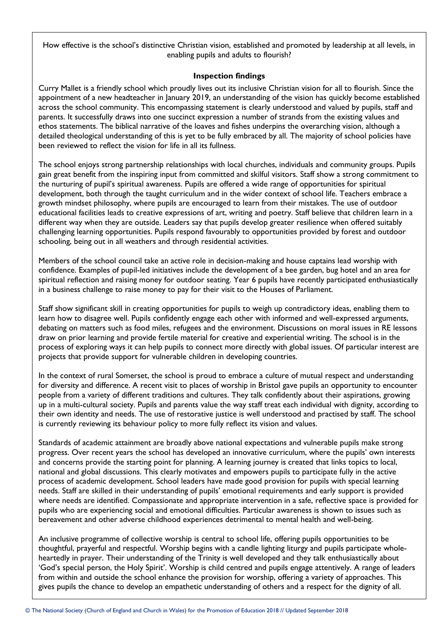How effective is the school's distinctive Christian vision, established and promoted by leadership at all levels, in enabling pupils and adults to flourish?

#### **Inspection findings**

Curry Mallet is a friendly school which proudly lives out its inclusive Christian vision for all to flourish. Since the appointment of a new headteacher in January 2019, an understanding of the vision has quickly become established across the school community. This encompassing statement is clearly understood and valued by pupils, staff and parents. It successfully draws into one succinct expression a number of strands from the existing values and ethos statements. The biblical narrative of the loaves and fishes underpins the overarching vision, although a detailed theological understanding of this is yet to be fully embraced by all. The majority of school policies have been reviewed to reflect the vision for life in all its fullness.

The school enjoys strong partnership relationships with local churches, individuals and community groups. Pupils gain great benefit from the inspiring input from committed and skilful visitors. Staff show a strong commitment to the nurturing of pupil's spiritual awareness. Pupils are offered a wide range of opportunities for spiritual development, both through the taught curriculum and in the wider context of school life. Teachers embrace a growth mindset philosophy, where pupils are encouraged to learn from their mistakes. The use of outdoor educational facilities leads to creative expressions of art, writing and poetry. Staff believe that children learn in a different way when they are outside. Leaders say that pupils develop greater resilience when offered suitably challenging learning opportunities. Pupils respond favourably to opportunities provided by forest and outdoor schooling, being out in all weathers and through residential activities.

Members of the school council take an active role in decision-making and house captains lead worship with confidence. Examples of pupil-led initiatives include the development of a bee garden, bug hotel and an area for spiritual reflection and raising money for outdoor seating. Year 6 pupils have recently participated enthusiastically in a business challenge to raise money to pay for their visit to the Houses of Parliament.

Staff show significant skill in creating opportunities for pupils to weigh up contradictory ideas, enabling them to learn how to disagree well. Pupils confidently engage each other with informed and well-expressed arguments, debating on matters such as food miles, refugees and the environment. Discussions on moral issues in RE lessons draw on prior learning and provide fertile material for creative and experiential writing. The school is in the process of exploring ways it can help pupils to connect more directly with global issues. Of particular interest are projects that provide support for vulnerable children in developing countries.

In the context of rural Somerset, the school is proud to embrace a culture of mutual respect and understanding for diversity and difference. A recent visit to places of worship in Bristol gave pupils an opportunity to encounter people from a variety of different traditions and cultures. They talk confidently about their aspirations, growing up in a multi-cultural society. Pupils and parents value the way staff treat each individual with dignity, according to their own identity and needs. The use of restorative justice is well understood and practised by staff. The school is currently reviewing its behaviour policy to more fully reflect its vision and values.

Standards of academic attainment are broadly above national expectations and vulnerable pupils make strong progress. Over recent years the school has developed an innovative curriculum, where the pupils' own interests and concerns provide the starting point for planning. A learning journey is created that links topics to local, national and global discussions. This clearly motivates and empowers pupils to participate fully in the active process of academic development. School leaders have made good provision for pupils with special learning needs. Staff are skilled in their understanding of pupils' emotional requirements and early support is provided where needs are identified. Compassionate and appropriate intervention in a safe, reflective space is provided for pupils who are experiencing social and emotional difficulties. Particular awareness is shown to issues such as bereavement and other adverse childhood experiences detrimental to mental health and well-being.

An inclusive programme of collective worship is central to school life, offering pupils opportunities to be thoughtful, prayerful and respectful. Worship begins with a candle lighting liturgy and pupils participate wholeheartedly in prayer. Their understanding of the Trinity is well developed and they talk enthusiastically about 'God's special person, the Holy Spirit'. Worship is child centred and pupils engage attentively. A range of leaders from within and outside the school enhance the provision for worship, offering a variety of approaches. This gives pupils the chance to develop an empathetic understanding of others and a respect for the dignity of all.